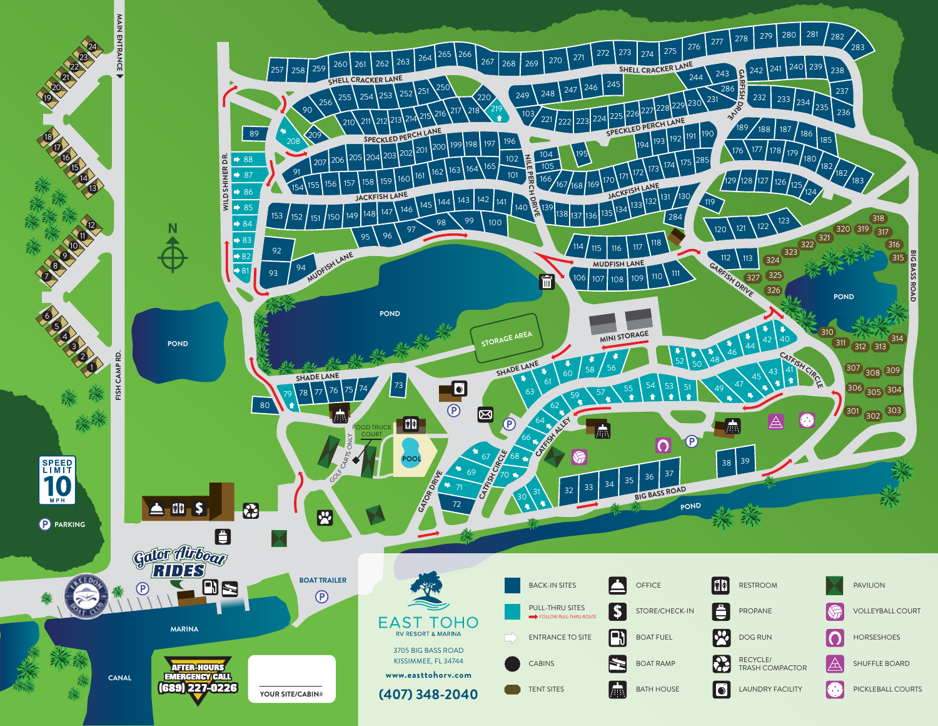